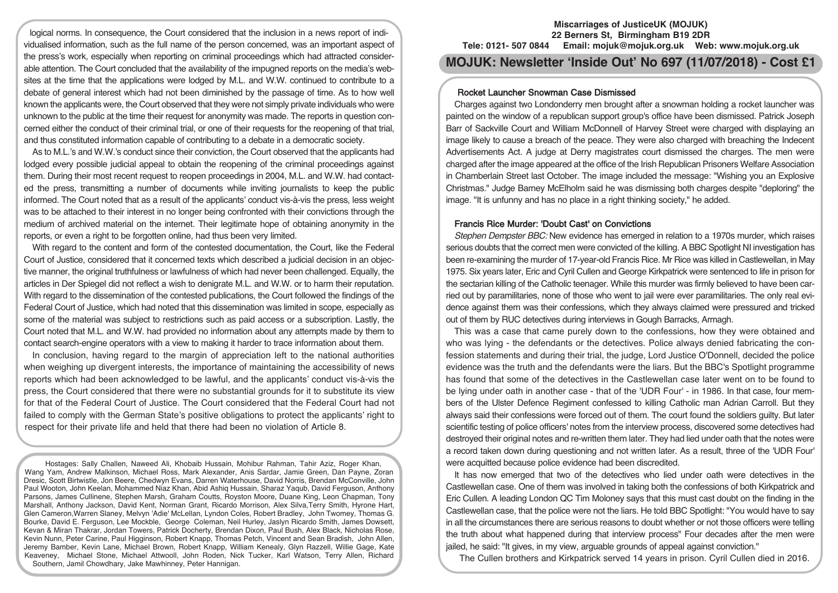logical norms. In consequence, the Court considered that the inclusion in a news report of individualised information, such as the full name of the person concerned, was an important aspect of the press's work, especially when reporting on criminal proceedings which had attracted considerable attention. The Court concluded that the availability of the impugned reports on the media's websites at the time that the applications were lodged by M.L. and W.W. continued to contribute to a debate of general interest which had not been diminished by the passage of time. As to how well known the applicants were, the Court observed that they were not simply private individuals who were unknown to the public at the time their request for anonymity was made. The reports in question concerned either the conduct of their criminal trial, or one of their requests for the reopening of that trial, and thus constituted information capable of contributing to a debate in a democratic society.

As to M.L.'s and W.W.'s conduct since their conviction, the Court observed that the applicants had lodged every possible judicial appeal to obtain the reopening of the criminal proceedings against them. During their most recent request to reopen proceedings in 2004, M.L. and W.W. had contacted the press, transmitting a number of documents while inviting journalists to keep the public informed. The Court noted that as a result of the applicants' conduct vis-à-vis the press, less weight was to be attached to their interest in no longer being confronted with their convictions through the medium of archived material on the internet. Their legitimate hope of obtaining anonymity in the reports, or even a right to be forgotten online, had thus been very limited.

With regard to the content and form of the contested documentation, the Court, like the Federal Court of Justice, considered that it concerned texts which described a judicial decision in an objective manner, the original truthfulness or lawfulness of which had never been challenged. Equally, the articles in Der Spiegel did not reflect a wish to denigrate M.L. and W.W. or to harm their reputation. With regard to the dissemination of the contested publications, the Court followed the findings of the Federal Court of Justice, which had noted that this dissemination was limited in scope, especially as some of the material was subject to restrictions such as paid access or a subscription. Lastly, the Court noted that M.L. and W.W. had provided no information about any attempts made by them to contact search-engine operators with a view to making it harder to trace information about them.

In conclusion, having regard to the margin of appreciation left to the national authorities when weighing up divergent interests, the importance of maintaining the accessibility of news reports which had been acknowledged to be lawful, and the applicants' conduct vis-à-vis the press, the Court considered that there were no substantial grounds for it to substitute its view for that of the Federal Court of Justice. The Court considered that the Federal Court had not failed to comply with the German State's positive obligations to protect the applicants' right to respect for their private life and held that there had been no violation of Article 8.

Hostages: Sally Challen, Naweed Ali, Khobaib Hussain, Mohibur Rahman, Tahir Aziz, Roger Khan, Wang Yam, Andrew Malkinson, Michael Ross, Mark Alexander, Anis Sardar, Jamie Green, Dan Payne, Zoran Dresic, Scott Birtwistle, Jon Beere, Chedwyn Evans, Darren Waterhouse, David Norris, Brendan McConville, John Paul Wooton, John Keelan, Mohammed Niaz Khan, Abid Ashiq Hussain, Sharaz Yaqub, David Ferguson, Anthony Parsons, James Cullinene, Stephen Marsh, Graham Coutts, Royston Moore, Duane King, Leon Chapman, Tony Marshall, Anthony Jackson, David Kent, Norman Grant, Ricardo Morrison, Alex Silva,Terry Smith, Hyrone Hart, Glen Cameron,Warren Slaney, Melvyn 'Adie' McLellan, Lyndon Coles, Robert Bradley, John Twomey, Thomas G. Bourke, David E. Ferguson, Lee Mockble, George Coleman, Neil Hurley, Jaslyn Ricardo Smith, James Dowsett, Kevan & Miran Thakrar, Jordan Towers, Patrick Docherty, Brendan Dixon, Paul Bush, Alex Black, Nicholas Rose, Kevin Nunn, Peter Carine, Paul Higginson, Robert Knapp, Thomas Petch, Vincent and Sean Bradish, John Allen, Jeremy Bamber, Kevin Lane, Michael Brown, Robert Knapp, William Kenealy, Glyn Razzell, Willie Gage, Kate Keaveney, Michael Stone, Michael Attwooll, John Roden, Nick Tucker, Karl Watson, Terry Allen, Richard Southern, Jamil Chowdhary, Jake Mawhinney, Peter Hannigan.

#### **Miscarriages of JusticeUK (MOJUK) 22 Berners St, Birmingham B19 2DR**

**Tele: 0121- 507 0844 Email: mojuk@mojuk.org.uk Web: www.mojuk.org.uk**

# **MOJUK: Newsletter 'Inside Out' No 697 (11/07/2018) - Cost £1**

# Rocket Launcher Snowman Case Dismissed

Charges against two Londonderry men brought after a snowman holding a rocket launcher was painted on the window of a republican support group's office have been dismissed. Patrick Joseph Barr of Sackville Court and William McDonnell of Harvey Street were charged with displaying an image likely to cause a breach of the peace. They were also charged with breaching the Indecent Advertisements Act. A judge at Derry magistrates court dismissed the charges. The men were charged after the image appeared at the office of the Irish Republican Prisoners Welfare Association in Chamberlain Street last October. The image included the message: "Wishing you an Explosive Christmas." Judge Barney McElholm said he was dismissing both charges despite "deploring" the image. "It is unfunny and has no place in a right thinking society," he added.

### Francis Rice Murder: 'Doubt Cast' on Convictions

Stephen Dempster BBC: New evidence has emerged in relation to a 1970s murder, which raises serious doubts that the correct men were convicted of the killing. A BBC Spotlight NI investigation has been re-examining the murder of 17-year-old Francis Rice. Mr Rice was killed in Castlewellan, in May 1975. Six years later, Eric and Cyril Cullen and George Kirkpatrick were sentenced to life in prison for the sectarian killing of the Catholic teenager. While this murder was firmly believed to have been carried out by paramilitaries, none of those who went to jail were ever paramilitaries. The only real evidence against them was their confessions, which they always claimed were pressured and tricked out of them by RUC detectives during interviews in Gough Barracks, Armagh.

This was a case that came purely down to the confessions, how they were obtained and who was lying - the defendants or the detectives. Police always denied fabricating the confession statements and during their trial, the judge, Lord Justice O'Donnell, decided the police evidence was the truth and the defendants were the liars. But the BBC's Spotlight programme has found that some of the detectives in the Castlewellan case later went on to be found to be lying under oath in another case - that of the 'UDR Four' - in 1986. In that case, four members of the Ulster Defence Regiment confessed to killing Catholic man Adrian Carroll. But they always said their confessions were forced out of them. The court found the soldiers guilty. But later scientific testing of police officers' notes from the interview process, discovered some detectives had destroyed their original notes and re-written them later. They had lied under oath that the notes were a record taken down during questioning and not written later. As a result, three of the 'UDR Four' were acquitted because police evidence had been discredited.

It has now emerged that two of the detectives who lied under oath were detectives in the Castlewellan case. One of them was involved in taking both the confessions of both Kirkpatrick and Eric Cullen. A leading London QC Tim Moloney says that this must cast doubt on the finding in the Castlewellan case, that the police were not the liars. He told BBC Spotlight: "You would have to say in all the circumstances there are serious reasons to doubt whether or not those officers were telling the truth about what happened during that interview process" Four decades after the men were jailed, he said: "It gives, in my view, arguable grounds of appeal against conviction."

The Cullen brothers and Kirkpatrick served 14 years in prison. Cyril Cullen died in 2016.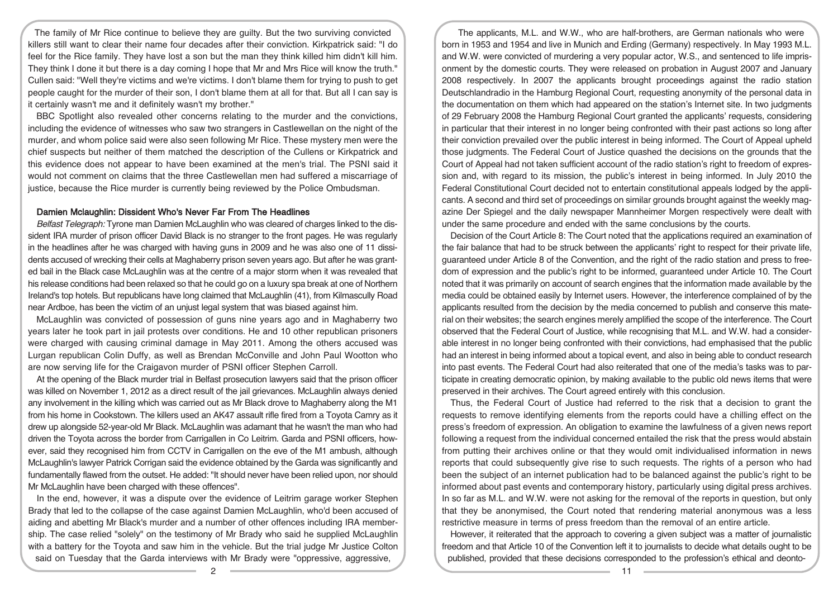The family of Mr Rice continue to believe they are guilty. But the two surviving convicted killers still want to clear their name four decades after their conviction. Kirkpatrick said: "I do feel for the Rice family. They have lost a son but the man they think killed him didn't kill him. They think I done it but there is a day coming I hope that Mr and Mrs Rice will know the truth." Cullen said: "Well they're victims and we're victims. I don't blame them for trying to push to get people caught for the murder of their son, I don't blame them at all for that. But all I can say is it certainly wasn't me and it definitely wasn't my brother."

BBC Spotlight also revealed other concerns relating to the murder and the convictions, including the evidence of witnesses who saw two strangers in Castlewellan on the night of the murder, and whom police said were also seen following Mr Rice. These mystery men were the chief suspects but neither of them matched the description of the Cullens or Kirkpatrick and this evidence does not appear to have been examined at the men's trial. The PSNI said it would not comment on claims that the three Castlewellan men had suffered a miscarriage of justice, because the Rice murder is currently being reviewed by the Police Ombudsman.

## Damien Mclaughlin: Dissident Who's Never Far From The Headlines

Belfast Telegraph: Tyrone man Damien McLaughlin who was cleared of charges linked to the dissident IRA murder of prison officer David Black is no stranger to the front pages. He was regularly in the headlines after he was charged with having guns in 2009 and he was also one of 11 dissidents accused of wrecking their cells at Maghaberry prison seven years ago. But after he was granted bail in the Black case McLaughlin was at the centre of a major storm when it was revealed that his release conditions had been relaxed so that he could go on a luxury spa break at one of Northern Ireland's top hotels. But republicans have long claimed that McLaughlin (41), from Kilmascully Road near Ardboe, has been the victim of an unjust legal system that was biased against him.

McLaughlin was convicted of possession of guns nine years ago and in Maghaberry two years later he took part in jail protests over conditions. He and 10 other republican prisoners were charged with causing criminal damage in May 2011. Among the others accused was Lurgan republican Colin Duffy, as well as Brendan McConville and John Paul Wootton who are now serving life for the Craigavon murder of PSNI officer Stephen Carroll.

At the opening of the Black murder trial in Belfast prosecution lawyers said that the prison officer was killed on November 1, 2012 as a direct result of the jail grievances. McLaughlin always denied any involvement in the killing which was carried out as Mr Black drove to Maghaberry along the M1 from his home in Cookstown. The killers used an AK47 assault rifle fired from a Toyota Camry as it drew up alongside 52-year-old Mr Black. McLaughlin was adamant that he wasn't the man who had driven the Toyota across the border from Carrigallen in Co Leitrim. Garda and PSNI officers, however, said they recognised him from CCTV in Carrigallen on the eve of the M1 ambush, although McLaughlin's lawyer Patrick Corrigan said the evidence obtained by the Garda was significantly and fundamentally flawed from the outset. He added: "It should never have been relied upon, nor should Mr McLaughlin have been charged with these offences".

In the end, however, it was a dispute over the evidence of Leitrim garage worker Stephen Brady that led to the collapse of the case against Damien McLaughlin, who'd been accused of aiding and abetting Mr Black's murder and a number of other offences including IRA membership. The case relied "solely" on the testimony of Mr Brady who said he supplied McLaughlin with a battery for the Toyota and saw him in the vehicle. But the trial judge Mr Justice Colton said on Tuesday that the Garda interviews with Mr Brady were "oppressive, aggressive,

The applicants, M.L. and W.W., who are half-brothers, are German nationals who were born in 1953 and 1954 and live in Munich and Erding (Germany) respectively. In May 1993 M.L. and W.W. were convicted of murdering a very popular actor, W.S., and sentenced to life imprisonment by the domestic courts. They were released on probation in August 2007 and January 2008 respectively. In 2007 the applicants brought proceedings against the radio station Deutschlandradio in the Hamburg Regional Court, requesting anonymity of the personal data in the documentation on them which had appeared on the station's Internet site. In two judgments of 29 February 2008 the Hamburg Regional Court granted the applicants' requests, considering in particular that their interest in no longer being confronted with their past actions so long after their conviction prevailed over the public interest in being informed. The Court of Appeal upheld those judgments. The Federal Court of Justice quashed the decisions on the grounds that the Court of Appeal had not taken sufficient account of the radio station's right to freedom of expression and, with regard to its mission, the public's interest in being informed. In July 2010 the Federal Constitutional Court decided not to entertain constitutional appeals lodged by the applicants. A second and third set of proceedings on similar grounds brought against the weekly magazine Der Spiegel and the daily newspaper Mannheimer Morgen respectively were dealt with under the same procedure and ended with the same conclusions by the courts.

Decision of the Court Article 8: The Court noted that the applications required an examination of the fair balance that had to be struck between the applicants' right to respect for their private life, guaranteed under Article 8 of the Convention, and the right of the radio station and press to freedom of expression and the public's right to be informed, guaranteed under Article 10. The Court noted that it was primarily on account of search engines that the information made available by the media could be obtained easily by Internet users. However, the interference complained of by the applicants resulted from the decision by the media concerned to publish and conserve this material on their websites; the search engines merely amplified the scope of the interference. The Court observed that the Federal Court of Justice, while recognising that M.L. and W.W. had a considerable interest in no longer being confronted with their convictions, had emphasised that the public had an interest in being informed about a topical event, and also in being able to conduct research into past events. The Federal Court had also reiterated that one of the media's tasks was to participate in creating democratic opinion, by making available to the public old news items that were preserved in their archives. The Court agreed entirely with this conclusion.

Thus, the Federal Court of Justice had referred to the risk that a decision to grant the requests to remove identifying elements from the reports could have a chilling effect on the press's freedom of expression. An obligation to examine the lawfulness of a given news report following a request from the individual concerned entailed the risk that the press would abstain from putting their archives online or that they would omit individualised information in news reports that could subsequently give rise to such requests. The rights of a person who had been the subject of an internet publication had to be balanced against the public's right to be informed about past events and contemporary history, particularly using digital press archives. In so far as M.L. and W.W. were not asking for the removal of the reports in question, but only that they be anonymised, the Court noted that rendering material anonymous was a less restrictive measure in terms of press freedom than the removal of an entire article.

However, it reiterated that the approach to covering a given subject was a matter of journalistic freedom and that Article 10 of the Convention left it to journalists to decide what details ought to be published, provided that these decisions corresponded to the profession's ethical and deonto-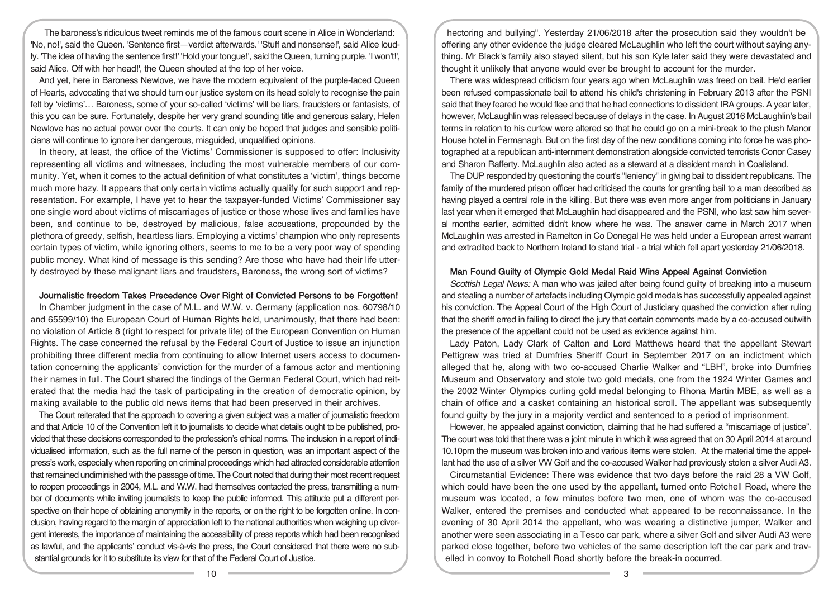The baroness's ridiculous tweet reminds me of the famous court scene in Alice in Wonderland: 'No, no!', said the Queen. 'Sentence first—verdict afterwards.' 'Stuff and nonsense!', said Alice loudly. 'The idea of having the sentence first!' 'Hold your tongue!', said the Queen, turning purple. 'I won't!', said Alice. Off with her head!', the Queen shouted at the top of her voice.

And yet, here in Baroness Newlove, we have the modern equivalent of the purple-faced Queen of Hearts, advocating that we should turn our justice system on its head solely to recognise the pain felt by 'victims'… Baroness, some of your so-called 'victims' will be liars, fraudsters or fantasists, of this you can be sure. Fortunately, despite her very grand sounding title and generous salary, Helen Newlove has no actual power over the courts. It can only be hoped that judges and sensible politicians will continue to ignore her dangerous, misguided, unqualified opinions.

In theory, at least, the office of the Victims' Commissioner is supposed to offer: Inclusivity representing all victims and witnesses, including the most vulnerable members of our community. Yet, when it comes to the actual definition of what constitutes a 'victim', things become much more hazy. It appears that only certain victims actually qualify for such support and representation. For example, I have yet to hear the taxpayer-funded Victims' Commissioner say one single word about victims of miscarriages of justice or those whose lives and families have been, and continue to be, destroyed by malicious, false accusations, propounded by the plethora of greedy, selfish, heartless liars. Employing a victims' champion who only represents certain types of victim, while ignoring others, seems to me to be a very poor way of spending public money. What kind of message is this sending? Are those who have had their life utterly destroyed by these malignant liars and fraudsters, Baroness, the wrong sort of victims?

#### Journalistic freedom Takes Precedence Over Right of Convicted Persons to be Forgotten!

In Chamber judgment in the case of M.L. and W.W. v. Germany (application nos. 60798/10 and 65599/10) the European Court of Human Rights held, unanimously, that there had been: no violation of Article 8 (right to respect for private life) of the European Convention on Human Rights. The case concerned the refusal by the Federal Court of Justice to issue an injunction prohibiting three different media from continuing to allow Internet users access to documentation concerning the applicants' conviction for the murder of a famous actor and mentioning their names in full. The Court shared the findings of the German Federal Court, which had reiterated that the media had the task of participating in the creation of democratic opinion, by making available to the public old news items that had been preserved in their archives.

The Court reiterated that the approach to covering a given subject was a matter of journalistic freedom and that Article 10 of the Convention left it to journalists to decide what details ought to be published, provided that these decisions corresponded to the profession's ethical norms. The inclusion in a report of individualised information, such as the full name of the person in question, was an important aspect of the press's work, especially when reporting on criminal proceedings which had attracted considerable attention that remained undiminished with the passage of time. The Court noted that during their most recent request to reopen proceedings in 2004, M.L. and W.W. had themselves contacted the press, transmitting a number of documents while inviting journalists to keep the public informed. This attitude put a different perspective on their hope of obtaining anonymity in the reports, or on the right to be forgotten online. In conclusion, having regard to the margin of appreciation left to the national authorities when weighing up divergent interests, the importance of maintaining the accessibility of press reports which had been recognised as lawful, and the applicants' conduct vis-à-vis the press, the Court considered that there were no substantial grounds for it to substitute its view for that of the Federal Court of Justice.

hectoring and bullying". Yesterday 21/06/2018 after the prosecution said they wouldn't be offering any other evidence the judge cleared McLaughlin who left the court without saying anything. Mr Black's family also stayed silent, but his son Kyle later said they were devastated and thought it unlikely that anyone would ever be brought to account for the murder.

There was widespread criticism four years ago when McLaughlin was freed on bail. He'd earlier been refused compassionate bail to attend his child's christening in February 2013 after the PSNI said that they feared he would flee and that he had connections to dissident IRA groups. A year later, however, McLaughlin was released because of delays in the case. In August 2016 McLaughlin's bail terms in relation to his curfew were altered so that he could go on a mini-break to the plush Manor House hotel in Fermanagh. But on the first day of the new conditions coming into force he was photographed at a republican anti-internment demonstration alongside convicted terrorists Conor Casey and Sharon Rafferty. McLaughlin also acted as a steward at a dissident march in Coalisland.

The DUP responded by questioning the court's "leniency" in giving bail to dissident republicans. The family of the murdered prison officer had criticised the courts for granting bail to a man described as having played a central role in the killing. But there was even more anger from politicians in January last year when it emerged that McLaughlin had disappeared and the PSNI, who last saw him several months earlier, admitted didn't know where he was. The answer came in March 2017 when McLaughlin was arrested in Ramelton in Co Donegal He was held under a European arrest warrant and extradited back to Northern Ireland to stand trial - a trial which fell apart yesterday 21/06/2018.

# Man Found Guilty of Olympic Gold Medal Raid Wins Appeal Against Conviction

Scottish Legal News: A man who was jailed after being found guilty of breaking into a museum and stealing a number of artefacts including Olympic gold medals has successfully appealed against his conviction. The Appeal Court of the High Court of Justiciary quashed the conviction after ruling that the sheriff erred in failing to direct the jury that certain comments made by a co-accused outwith the presence of the appellant could not be used as evidence against him.

Lady Paton, Lady Clark of Calton and Lord Matthews heard that the appellant Stewart Pettigrew was tried at Dumfries Sheriff Court in September 2017 on an indictment which alleged that he, along with two co-accused Charlie Walker and "LBH", broke into Dumfries Museum and Observatory and stole two gold medals, one from the 1924 Winter Games and the 2002 Winter Olympics curling gold medal belonging to Rhona Martin MBE, as well as a chain of office and a casket containing an historical scroll. The appellant was subsequently found guilty by the jury in a majority verdict and sentenced to a period of imprisonment.

However, he appealed against conviction, claiming that he had suffered a "miscarriage of justice". The court was told that there was a joint minute in which it was agreed that on 30 April 2014 at around 10.10pm the museum was broken into and various items were stolen. At the material time the appellant had the use of a silver VW Golf and the co-accused Walker had previously stolen a silver Audi A3.

Circumstantial Evidence: There was evidence that two days before the raid 28 a VW Golf, which could have been the one used by the appellant, turned onto Rotchell Road, where the museum was located, a few minutes before two men, one of whom was the co-accused Walker, entered the premises and conducted what appeared to be reconnaissance. In the evening of 30 April 2014 the appellant, who was wearing a distinctive jumper, Walker and another were seen associating in a Tesco car park, where a silver Golf and silver Audi A3 were parked close together, before two vehicles of the same description left the car park and travelled in convoy to Rotchell Road shortly before the break-in occurred.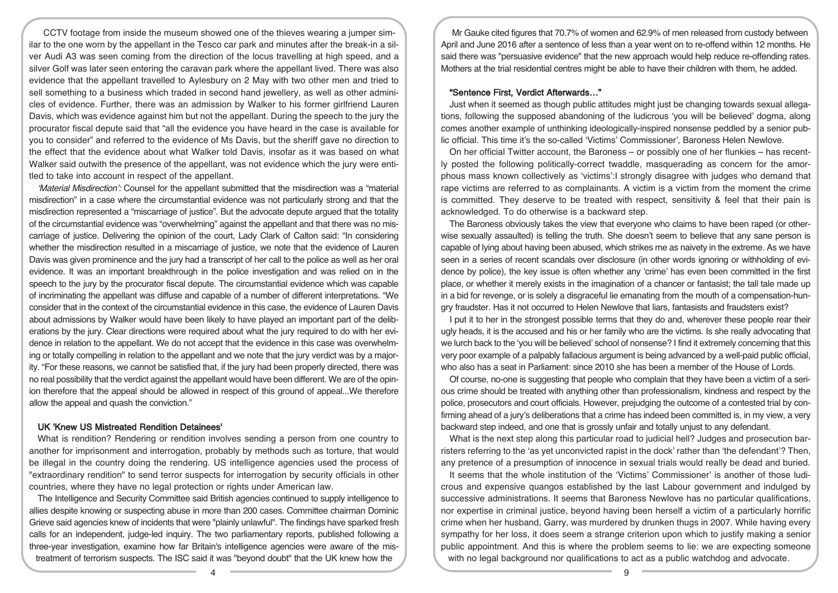CCTV footage from inside the museum showed one of the thieves wearing a jumper similar to the one worn by the appellant in the Tesco car park and minutes after the break-in a silver Audi A3 was seen coming from the direction of the locus travelling at high speed, and a silver Golf was later seen entering the caravan park where the appellant lived. There was also evidence that the appellant travelled to Aylesbury on 2 May with two other men and tried to sell something to a business which traded in second hand jewellery, as well as other adminicles of evidence. Further, there was an admission by Walker to his former girlfriend Lauren Davis, which was evidence against him but not the appellant. During the speech to the jury the procurator fiscal depute said that "all the evidence you have heard in the case is available for you to consider" and referred to the evidence of Ms Davis, but the sheriff gave no direction to the effect that the evidence about what Walker told Davis, insofar as it was based on what Walker said outwith the presence of the appellant, was not evidence which the jury were entitled to take into account in respect of the appellant.

'Material Misdirection': Counsel for the appellant submitted that the misdirection was a "material misdirection" in a case where the circumstantial evidence was not particularly strong and that the misdirection represented a "miscarriage of justice". But the advocate depute argued that the totality of the circumstantial evidence was "overwhelming" against the appellant and that there was no miscarriage of justice. Delivering the opinion of the court, Lady Clark of Calton said: "In considering whether the misdirection resulted in a miscarriage of justice, we note that the evidence of Lauren Davis was given prominence and the jury had a transcript of her call to the police as well as her oral evidence. It was an important breakthrough in the police investigation and was relied on in the speech to the jury by the procurator fiscal depute. The circumstantial evidence which was capable of incriminating the appellant was diffuse and capable of a number of different interpretations. "We consider that in the context of the circumstantial evidence in this case, the evidence of Lauren Davis about admissions by Walker would have been likely to have played an important part of the deliberations by the jury. Clear directions were required about what the jury required to do with her evidence in relation to the appellant. We do not accept that the evidence in this case was overwhelming or totally compelling in relation to the appellant and we note that the jury verdict was by a majority. "For these reasons, we cannot be satisfied that, if the jury had been properly directed, there was no real possibility that the verdict against the appellant would have been different. We are of the opinion therefore that the appeal should be allowed in respect of this ground of appeal...We therefore allow the appeal and quash the conviction."

#### UK 'Knew US Mistreated Rendition Detainees'

What is rendition? Rendering or rendition involves sending a person from one country to another for imprisonment and interrogation, probably by methods such as torture, that would be illegal in the country doing the rendering. US intelligence agencies used the process of "extraordinary rendition" to send terror suspects for interrogation by security officials in other countries, where they have no legal protection or rights under American law.

The Intelligence and Security Committee said British agencies continued to supply intelligence to allies despite knowing or suspecting abuse in more than 200 cases. Committee chairman Dominic Grieve said agencies knew of incidents that were "plainly unlawful". The findings have sparked fresh calls for an independent, judge-led inquiry. The two parliamentary reports, published following a three-year investigation, examine how far Britain's intelligence agencies were aware of the mistreatment of terrorism suspects. The ISC said it was "beyond doubt" that the UK knew how the

Mr Gauke cited figures that 70.7% of women and 62.9% of men released from custody between April and June 2016 after a sentence of less than a year went on to re-offend within 12 months. He said there was "persuasive evidence" that the new approach would help reduce re-offending rates. Mothers at the trial residential centres might be able to have their children with them, he added.

# "Sentence First, Verdict Afterwards…"

Just when it seemed as though public attitudes might just be changing towards sexual allegations, following the supposed abandoning of the ludicrous 'you will be believed' dogma, along comes another example of unthinking ideologically-inspired nonsense peddled by a senior public official. This time it's the so-called 'Victims' Commissioner', Baroness Helen Newlove.

On her official Twitter account, the Baroness – or possibly one of her flunkies – has recently posted the following politically-correct twaddle, masquerading as concern for the amorphous mass known collectively as 'victims':I strongly disagree with judges who demand that rape victims are referred to as complainants. A victim is a victim from the moment the crime is committed. They deserve to be treated with respect, sensitivity & feel that their pain is acknowledged. To do otherwise is a backward step.

The Baroness obviously takes the view that everyone who claims to have been raped (or otherwise sexually assaulted) is telling the truth. She doesn't seem to believe that any sane person is capable of lying about having been abused, which strikes me as naivety in the extreme. As we have seen in a series of recent scandals over disclosure (in other words ignoring or withholding of evidence by police), the key issue is often whether any 'crime' has even been committed in the first place, or whether it merely exists in the imagination of a chancer or fantasist; the tall tale made up in a bid for revenge, or is solely a disgraceful lie emanating from the mouth of a compensation-hungry fraudster. Has it not occurred to Helen Newlove that liars, fantasists and fraudsters exist?

I put it to her in the strongest possible terms that they do and, wherever these people rear their ugly heads, it is the accused and his or her family who are the victims. Is she really advocating that we lurch back to the 'you will be believed' school of nonsense? I find it extremely concerning that this very poor example of a palpably fallacious argument is being advanced by a well-paid public official, who also has a seat in Parliament: since 2010 she has been a member of the House of Lords.

Of course, no-one is suggesting that people who complain that they have been a victim of a serious crime should be treated with anything other than professionalism, kindness and respect by the police, prosecutors and court officials. However, prejudging the outcome of a contested trial by confirming ahead of a jury's deliberations that a crime has indeed been committed is, in my view, a very backward step indeed, and one that is grossly unfair and totally unjust to any defendant.

What is the next step along this particular road to judicial hell? Judges and prosecution barristers referring to the 'as yet unconvicted rapist in the dock' rather than 'the defendant'? Then, any pretence of a presumption of innocence in sexual trials would really be dead and buried.

It seems that the whole institution of the 'Victims' Commissioner' is another of those ludicrous and expensive quangos established by the last Labour government and indulged by successive administrations. It seems that Baroness Newlove has no particular qualifications, nor expertise in criminal justice, beyond having been herself a victim of a particularly horrific crime when her husband, Garry, was murdered by drunken thugs in 2007. While having every sympathy for her loss, it does seem a strange criterion upon which to justify making a senior public appointment. And this is where the problem seems to lie: we are expecting someone with no legal background nor qualifications to act as a public watchdog and advocate.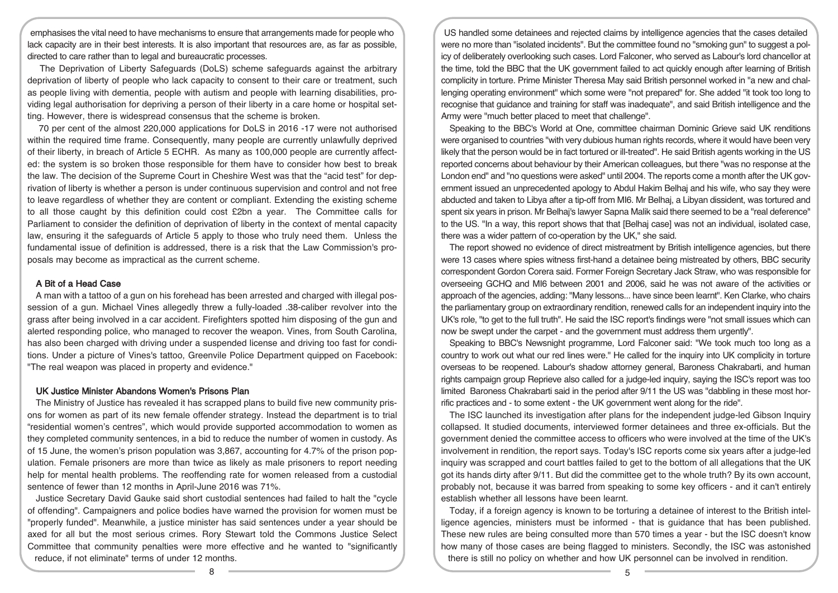emphasises the vital need to have mechanisms to ensure that arrangements made for people who lack capacity are in their best interests. It is also important that resources are, as far as possible, directed to care rather than to legal and bureaucratic processes.

The Deprivation of Liberty Safeguards (DoLS) scheme safeguards against the arbitrary deprivation of liberty of people who lack capacity to consent to their care or treatment, such as people living with dementia, people with autism and people with learning disabilities, providing legal authorisation for depriving a person of their liberty in a care home or hospital setting. However, there is widespread consensus that the scheme is broken.

70 per cent of the almost 220,000 applications for DoLS in 2016 -17 were not authorised within the required time frame. Consequently, many people are currently unlawfully deprived of their liberty, in breach of Article 5 ECHR. As many as 100,000 people are currently affected: the system is so broken those responsible for them have to consider how best to break the law. The decision of the Supreme Court in Cheshire West was that the "acid test" for deprivation of liberty is whether a person is under continuous supervision and control and not free to leave regardless of whether they are content or compliant. Extending the existing scheme to all those caught by this definition could cost £2bn a year. The Committee calls for Parliament to consider the definition of deprivation of liberty in the context of mental capacity law, ensuring it the safeguards of Article 5 apply to those who truly need them. Unless the fundamental issue of definition is addressed, there is a risk that the Law Commission's proposals may become as impractical as the current scheme.

# A Bit of a Head Case

A man with a tattoo of a gun on his forehead has been arrested and charged with illegal possession of a gun. Michael Vines allegedly threw a fully-loaded .38-caliber revolver into the grass after being involved in a car accident. Firefighters spotted him disposing of the gun and alerted responding police, who managed to recover the weapon. Vines, from South Carolina, has also been charged with driving under a suspended license and driving too fast for conditions. Under a picture of Vines's tattoo, Greenvile Police Department quipped on Facebook: "The real weapon was placed in property and evidence."

## UK Justice Minister Abandons Women's Prisons Plan

The Ministry of Justice has revealed it has scrapped plans to build five new community prisons for women as part of its new female offender strategy. Instead the department is to trial "residential women's centres", which would provide supported accommodation to women as they completed community sentences, in a bid to reduce the number of women in custody. As of 15 June, the women's prison population was 3,867, accounting for 4.7% of the prison population. Female prisoners are more than twice as likely as male prisoners to report needing help for mental health problems. The reoffending rate for women released from a custodial sentence of fewer than 12 months in April-June 2016 was 71%.

Justice Secretary David Gauke said short custodial sentences had failed to halt the "cycle of offending". Campaigners and police bodies have warned the provision for women must be "properly funded". Meanwhile, a justice minister has said sentences under a year should be axed for all but the most serious crimes. Rory Stewart told the Commons Justice Select Committee that community penalties were more effective and he wanted to "significantly reduce, if not eliminate" terms of under 12 months.

US handled some detainees and rejected claims by intelligence agencies that the cases detailed were no more than "isolated incidents". But the committee found no "smoking gun" to suggest a policy of deliberately overlooking such cases. Lord Falconer, who served as Labour's lord chancellor at the time, told the BBC that the UK government failed to act quickly enough after learning of British complicity in torture. Prime Minister Theresa May said British personnel worked in "a new and challenging operating environment" which some were "not prepared" for. She added "it took too long to recognise that guidance and training for staff was inadequate", and said British intelligence and the Army were "much better placed to meet that challenge".

Speaking to the BBC's World at One, committee chairman Dominic Grieve said UK renditions were organised to countries "with very dubious human rights records, where it would have been very likely that the person would be in fact tortured or ill-treated". He said British agents working in the US reported concerns about behaviour by their American colleagues, but there "was no response at the London end" and "no questions were asked" until 2004. The reports come a month after the UK government issued an unprecedented apology to Abdul Hakim Belhaj and his wife, who say they were abducted and taken to Libya after a tip-off from MI6. Mr Belhaj, a Libyan dissident, was tortured and spent six years in prison. Mr Belhaj's lawyer Sapna Malik said there seemed to be a "real deference" to the US. "In a way, this report shows that that [Belhaj case] was not an individual, isolated case, there was a wider pattern of co-operation by the UK," she said.

The report showed no evidence of direct mistreatment by British intelligence agencies, but there were 13 cases where spies witness first-hand a detainee being mistreated by others, BBC security correspondent Gordon Corera said. Former Foreign Secretary Jack Straw, who was responsible for overseeing GCHQ and MI6 between 2001 and 2006, said he was not aware of the activities or approach of the agencies, adding: "Many lessons... have since been learnt". Ken Clarke, who chairs the parliamentary group on extraordinary rendition, renewed calls for an independent inquiry into the UK's role, "to get to the full truth". He said the ISC report's findings were "not small issues which can now be swept under the carpet - and the government must address them urgently".

Speaking to BBC's Newsnight programme, Lord Falconer said: "We took much too long as a country to work out what our red lines were." He called for the inquiry into UK complicity in torture overseas to be reopened. Labour's shadow attorney general, Baroness Chakrabarti, and human rights campaign group Reprieve also called for a judge-led inquiry, saying the ISC's report was too limited Baroness Chakrabarti said in the period after 9/11 the US was "dabbling in these most horrific practices and - to some extent - the UK government went along for the ride".

The ISC launched its investigation after plans for the independent judge-led Gibson Inquiry collapsed. It studied documents, interviewed former detainees and three ex-officials. But the government denied the committee access to officers who were involved at the time of the UK's involvement in rendition, the report says. Today's ISC reports come six years after a judge-led inquiry was scrapped and court battles failed to get to the bottom of all allegations that the UK got its hands dirty after 9/11. But did the committee get to the whole truth? By its own account, probably not, because it was barred from speaking to some key officers - and it can't entirely establish whether all lessons have been learnt.

Today, if a foreign agency is known to be torturing a detainee of interest to the British intelligence agencies, ministers must be informed - that is guidance that has been published. These new rules are being consulted more than 570 times a year - but the ISC doesn't know how many of those cases are being flagged to ministers. Secondly, the ISC was astonished there is still no policy on whether and how UK personnel can be involved in rendition.